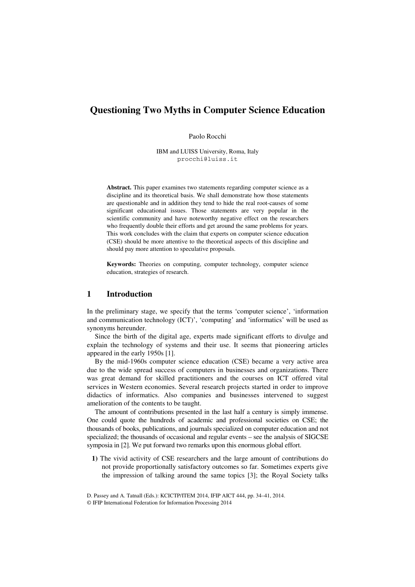# **Questioning Two Myths in Computer Science Education**

Paolo Rocchi

IBM and LUISS University, Roma, Italy procchi@luiss.it

**Abstract.** This paper examines two statements regarding computer science as a discipline and its theoretical basis. We shall demonstrate how those statements are questionable and in addition they tend to hide the real root-causes of some significant educational issues. Those statements are very popular in the scientific community and have noteworthy negative effect on the researchers who frequently double their efforts and get around the same problems for years. This work concludes with the claim that experts on computer science education (CSE) should be more attentive to the theoretical aspects of this discipline and should pay more attention to speculative proposals.

**Keywords:** Theories on computing, computer technology, computer science education, strategies of research.

# **1 Introduction**

In the preliminary stage, we specify that the terms 'computer science', 'information and communication technology (ICT)', 'computing' and 'informatics' will be used as synonyms hereunder.

Since the birth of the digital age, experts made significant efforts to divulge and explain the technology of systems and their use. It seems that pioneering articles appeared in the early 1950s [1].

By the mid-1960s computer science education (CSE) became a very active area due to the wide spread success of computers in businesses and organizations. There was great demand for skilled practitioners and the courses on ICT offered vital services in Western economies. Several research projects started in order to improve didactics of informatics. Also companies and businesses intervened to suggest amelioration of the contents to be taught.

The amount of contributions presented in the last half a century is simply immense. One could quote the hundreds of academic and professional societies on CSE; the thousands of books, publications, and journals specialized on computer education and not specialized; the thousands of occasional and regular events – see the analysis of SIGCSE symposia in [2]. We put forward two remarks upon this enormous global effort.

**1)** The vivid activity of CSE researchers and the large amount of contributions do not provide proportionally satisfactory outcomes so far. Sometimes experts give the impression of talking around the same topics [3]; the Royal Society talks

D. Passey and A. Tatnall (Eds.): KCICTP/ITEM 2014, IFIP AICT 444, pp. 34–41, 2014.

<sup>©</sup> IFIP International Federation for Information Processing 2014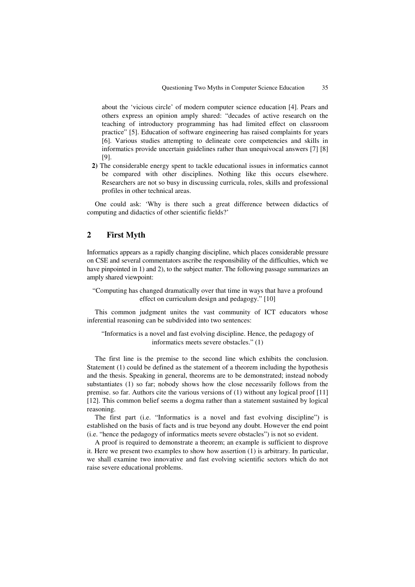about the 'vicious circle' of modern computer science education [4]. Pears and others express an opinion amply shared: "decades of active research on the teaching of introductory programming has had limited effect on classroom practice" [5]. Education of software engineering has raised complaints for years [6]. Various studies attempting to delineate core competencies and skills in informatics provide uncertain guidelines rather than unequivocal answers [7] [8] [9].

**2)** The considerable energy spent to tackle educational issues in informatics cannot be compared with other disciplines. Nothing like this occurs elsewhere. Researchers are not so busy in discussing curricula, roles, skills and professional profiles in other technical areas.

One could ask: 'Why is there such a great difference between didactics of computing and didactics of other scientific fields?'

## **2 First Myth**

Informatics appears as a rapidly changing discipline, which places considerable pressure on CSE and several commentators ascribe the responsibility of the difficulties, which we have pinpointed in 1) and 2), to the subject matter. The following passage summarizes an amply shared viewpoint:

"Computing has changed dramatically over that time in ways that have a profound effect on curriculum design and pedagogy." [10]

This common judgment unites the vast community of ICT educators whose inferential reasoning can be subdivided into two sentences:

"Informatics is a novel and fast evolving discipline. Hence, the pedagogy of informatics meets severe obstacles." (1)

The first line is the premise to the second line which exhibits the conclusion. Statement (1) could be defined as the statement of a theorem including the hypothesis and the thesis. Speaking in general, theorems are to be demonstrated; instead nobody substantiates (1) so far; nobody shows how the close necessarily follows from the premise. so far. Authors cite the various versions of (1) without any logical proof [11] [12]. This common belief seems a dogma rather than a statement sustained by logical reasoning.

The first part (i.e. "Informatics is a novel and fast evolving discipline") is established on the basis of facts and is true beyond any doubt. However the end point (i.e. "hence the pedagogy of informatics meets severe obstacles") is not so evident.

A proof is required to demonstrate a theorem; an example is sufficient to disprove it. Here we present two examples to show how assertion (1) is arbitrary. In particular, we shall examine two innovative and fast evolving scientific sectors which do not raise severe educational problems.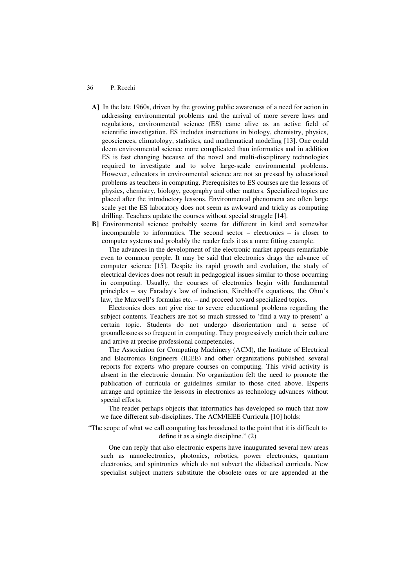### 36 P. Rocchi

- **A]** In the late 1960s, driven by the growing public awareness of a need for action in addressing environmental problems and the arrival of more severe laws and regulations, environmental science (ES) came alive as an active field of scientific investigation. ES includes instructions in biology, chemistry, physics, geosciences, climatology, statistics, and mathematical modeling [13]. One could deem environmental science more complicated than informatics and in addition ES is fast changing because of the novel and multi-disciplinary technologies required to investigate and to solve large-scale environmental problems. However, educators in environmental science are not so pressed by educational problems as teachers in computing. Prerequisites to ES courses are the lessons of physics, chemistry, biology, geography and other matters. Specialized topics are placed after the introductory lessons. Environmental phenomena are often large scale yet the ES laboratory does not seem as awkward and tricky as computing drilling. Teachers update the courses without special struggle [14].
- **B]** Environmental science probably seems far different in kind and somewhat incomparable to informatics. The second sector – electronics – is closer to computer systems and probably the reader feels it as a more fitting example.

The advances in the development of the electronic market appears remarkable even to common people. It may be said that electronics drags the advance of computer science [15]. Despite its rapid growth and evolution, the study of electrical devices does not result in pedagogical issues similar to those occurring in computing. Usually, the courses of electronics begin with fundamental principles – say Faraday's law of induction, Kirchhoff's equations, the Ohm's law, the Maxwell's formulas etc. – and proceed toward specialized topics.

Electronics does not give rise to severe educational problems regarding the subject contents. Teachers are not so much stressed to 'find a way to present' a certain topic. Students do not undergo disorientation and a sense of groundlessness so frequent in computing. They progressively enrich their culture and arrive at precise professional competencies.

The Association for Computing Machinery (ACM), the Institute of Electrical and Electronics Engineers (IEEE) and other organizations published several reports for experts who prepare courses on computing. This vivid activity is absent in the electronic domain. No organization felt the need to promote the publication of curricula or guidelines similar to those cited above. Experts arrange and optimize the lessons in electronics as technology advances without special efforts.

The reader perhaps objects that informatics has developed so much that now we face different sub-disciplines. The ACM/IEEE Curricula [10] holds:

"The scope of what we call computing has broadened to the point that it is difficult to define it as a single discipline." (2)

One can reply that also electronic experts have inaugurated several new areas such as nanoelectronics, photonics, robotics, power electronics, quantum electronics, and spintronics which do not subvert the didactical curricula. New specialist subject matters substitute the obsolete ones or are appended at the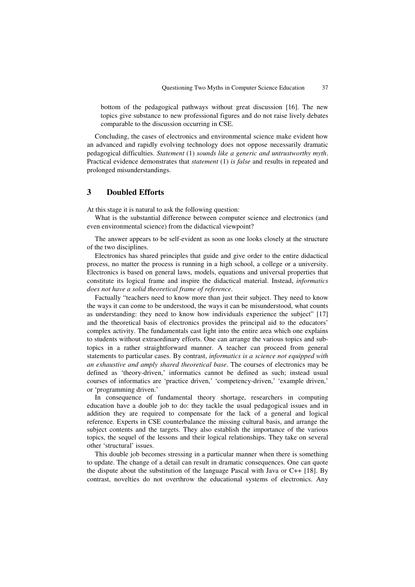bottom of the pedagogical pathways without great discussion [16]. The new topics give substance to new professional figures and do not raise lively debates comparable to the discussion occurring in CSE.

Concluding, the cases of electronics and environmental science make evident how an advanced and rapidly evolving technology does not oppose necessarily dramatic pedagogical difficulties. *Statement* (1) *sounds like a generic and untrustworthy myth*. Practical evidence demonstrates that *statement* (1) *is false* and results in repeated and prolonged misunderstandings.

## **3 Doubled Efforts**

At this stage it is natural to ask the following question:

What is the substantial difference between computer science and electronics (and even environmental science) from the didactical viewpoint?

The answer appears to be self-evident as soon as one looks closely at the structure of the two disciplines.

Electronics has shared principles that guide and give order to the entire didactical process, no matter the process is running in a high school, a college or a university. Electronics is based on general laws, models, equations and universal properties that constitute its logical frame and inspire the didactical material. Instead, *informatics does not have a solid theoretical frame of reference*.

Factually "teachers need to know more than just their subject. They need to know the ways it can come to be understood, the ways it can be misunderstood, what counts as understanding: they need to know how individuals experience the subject" [17] and the theoretical basis of electronics provides the principal aid to the educators' complex activity. The fundamentals cast light into the entire area which one explains to students without extraordinary efforts. One can arrange the various topics and subtopics in a rather straightforward manner. A teacher can proceed from general statements to particular cases. By contrast, *informatics is a science not equipped with an exhaustive and amply shared theoretical base*. The courses of electronics may be defined as 'theory-driven,' informatics cannot be defined as such; instead usual courses of informatics are 'practice driven,' 'competency-driven,' 'example driven,' or 'programming driven.'

In consequence of fundamental theory shortage, researchers in computing education have a double job to do: they tackle the usual pedagogical issues and in addition they are required to compensate for the lack of a general and logical reference. Experts in CSE counterbalance the missing cultural basis, and arrange the subject contents and the targets. They also establish the importance of the various topics, the sequel of the lessons and their logical relationships. They take on several other 'structural' issues.

This double job becomes stressing in a particular manner when there is something to update. The change of a detail can result in dramatic consequences. One can quote the dispute about the substitution of the language Pascal with Java or  $C_{++}$  [18]. By contrast, novelties do not overthrow the educational systems of electronics. Any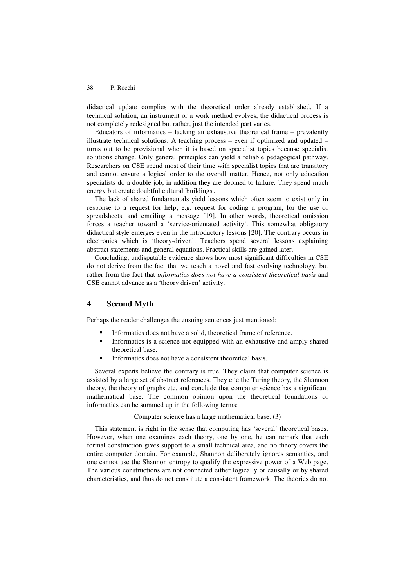### 38 P. Rocchi

didactical update complies with the theoretical order already established. If a technical solution, an instrument or a work method evolves, the didactical process is not completely redesigned but rather, just the intended part varies.

Educators of informatics – lacking an exhaustive theoretical frame – prevalently illustrate technical solutions. A teaching process – even if optimized and updated – turns out to be provisional when it is based on specialist topics because specialist solutions change. Only general principles can yield a reliable pedagogical pathway. Researchers on CSE spend most of their time with specialist topics that are transitory and cannot ensure a logical order to the overall matter. Hence, not only education specialists do a double job, in addition they are doomed to failure. They spend much energy but create doubtful cultural 'buildings'.

The lack of shared fundamentals yield lessons which often seem to exist only in response to a request for help; e.g. request for coding a program, for the use of spreadsheets, and emailing a message [19]. In other words, theoretical omission forces a teacher toward a 'service-orientated activity'. This somewhat obligatory didactical style emerges even in the introductory lessons [20]. The contrary occurs in electronics which is 'theory-driven'. Teachers spend several lessons explaining abstract statements and general equations. Practical skills are gained later.

Concluding, undisputable evidence shows how most significant difficulties in CSE do not derive from the fact that we teach a novel and fast evolving technology, but rather from the fact that *informatics does not have a consistent theoretical basis* and CSE cannot advance as a 'theory driven' activity.

# **4 Second Myth**

Perhaps the reader challenges the ensuing sentences just mentioned:

- Informatics does not have a solid, theoretical frame of reference.
- Informatics is a science not equipped with an exhaustive and amply shared theoretical base.
- Informatics does not have a consistent theoretical basis.

Several experts believe the contrary is true. They claim that computer science is assisted by a large set of abstract references. They cite the Turing theory, the Shannon theory, the theory of graphs etc. and conclude that computer science has a significant mathematical base. The common opinion upon the theoretical foundations of informatics can be summed up in the following terms:

### Computer science has a large mathematical base. (3)

This statement is right in the sense that computing has 'several' theoretical bases. However, when one examines each theory, one by one, he can remark that each formal construction gives support to a small technical area, and no theory covers the entire computer domain. For example, Shannon deliberately ignores semantics, and one cannot use the Shannon entropy to qualify the expressive power of a Web page. The various constructions are not connected either logically or causally or by shared characteristics, and thus do not constitute a consistent framework. The theories do not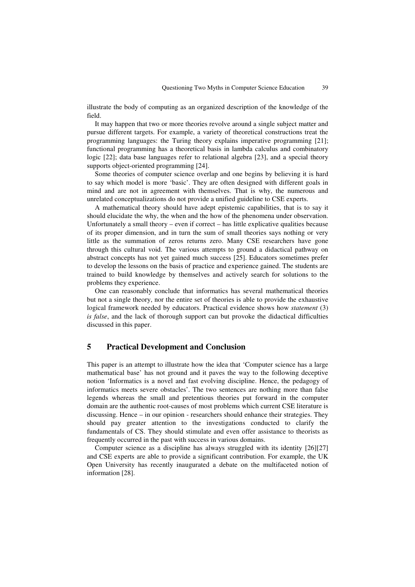illustrate the body of computing as an organized description of the knowledge of the field.

It may happen that two or more theories revolve around a single subject matter and pursue different targets. For example, a variety of theoretical constructions treat the programming languages: the Turing theory explains imperative programming [21]; functional programming has a theoretical basis in lambda calculus and combinatory logic [22]; data base languages refer to relational algebra [23], and a special theory supports object-oriented programming [24].

Some theories of computer science overlap and one begins by believing it is hard to say which model is more 'basic'. They are often designed with different goals in mind and are not in agreement with themselves. That is why, the numerous and unrelated conceptualizations do not provide a unified guideline to CSE experts.

A mathematical theory should have adept epistemic capabilities, that is to say it should elucidate the why, the when and the how of the phenomena under observation. Unfortunately a small theory – even if correct – has little explicative qualities because of its proper dimension, and in turn the sum of small theories says nothing or very little as the summation of zeros returns zero. Many CSE researchers have gone through this cultural void. The various attempts to ground a didactical pathway on abstract concepts has not yet gained much success [25]. Educators sometimes prefer to develop the lessons on the basis of practice and experience gained. The students are trained to build knowledge by themselves and actively search for solutions to the problems they experience.

One can reasonably conclude that informatics has several mathematical theories but not a single theory, nor the entire set of theories is able to provide the exhaustive logical framework needed by educators. Practical evidence shows how *statement* (3) *is false*, and the lack of thorough support can but provoke the didactical difficulties discussed in this paper.

# **5 Practical Development and Conclusion**

This paper is an attempt to illustrate how the idea that 'Computer science has a large mathematical base' has not ground and it paves the way to the following deceptive notion 'Informatics is a novel and fast evolving discipline. Hence, the pedagogy of informatics meets severe obstacles'. The two sentences are nothing more than false legends whereas the small and pretentious theories put forward in the computer domain are the authentic root-causes of most problems which current CSE literature is discussing. Hence – in our opinion - researchers should enhance their strategies. They should pay greater attention to the investigations conducted to clarify the fundamentals of CS. They should stimulate and even offer assistance to theorists as frequently occurred in the past with success in various domains.

Computer science as a discipline has always struggled with its identity [26][27] and CSE experts are able to provide a significant contribution. For example, the UK Open University has recently inaugurated a debate on the multifaceted notion of information [28].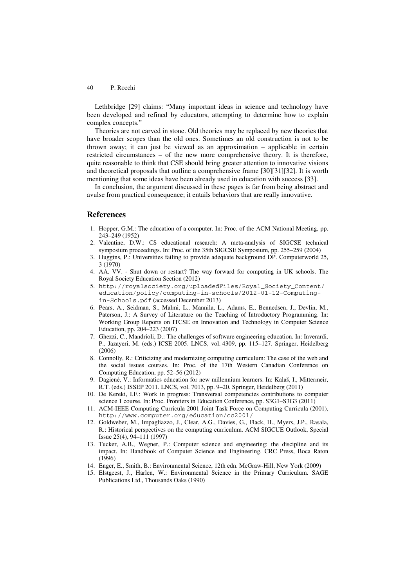#### 40 P. Rocchi

Lethbridge [29] claims: "Many important ideas in science and technology have been developed and refined by educators, attempting to determine how to explain complex concepts."

Theories are not carved in stone. Old theories may be replaced by new theories that have broader scopes than the old ones. Sometimes an old construction is not to be thrown away; it can just be viewed as an approximation – applicable in certain restricted circumstances – of the new more comprehensive theory. It is therefore, quite reasonable to think that CSE should bring greater attention to innovative visions and theoretical proposals that outline a comprehensive frame [30][31][32]. It is worth mentioning that some ideas have been already used in education with success [33].

In conclusion, the argument discussed in these pages is far from being abstract and avulse from practical consequence; it entails behaviors that are really innovative.

### **References**

- 1. Hopper, G.M.: The education of a computer. In: Proc. of the ACM National Meeting, pp. 243–249 (1952)
- 2. Valentine, D.W.: CS educational research: A meta-analysis of SIGCSE technical symposium proceedings. In: Proc. of the 35th SIGCSE Symposium, pp. 255–259 (2004)
- 3. Huggins, P.: Universities failing to provide adequate background DP. Computerworld 25, 3 (1970)
- 4. AA. VV. Shut down or restart? The way forward for computing in UK schools. The Royal Society Education Section (2012)
- 5. http://royalsociety.org/uploadedFiles/Royal\_Society\_Content/ education/policy/computing-in-schools/2012-01-12-Computingin-Schools.pdf (accessed December 2013)
- 6. Pears, A., Seidman, S., Malmi, L., Mannila, L., Adams, E., Bennedsen, J., Devlin, M., Paterson, J.: A Survey of Literature on the Teaching of Introductory Programming. In: Working Group Reports on ITCSE on Innovation and Technology in Computer Science Education, pp. 204–223 (2007)
- 7. Ghezzi, C., Mandrioli, D.: The challenges of software engineering education. In: Inverardi, P., Jazayeri, M. (eds.) ICSE 2005. LNCS, vol. 4309, pp. 115–127. Springer, Heidelberg (2006)
- 8. Connolly, R.: Criticizing and modernizing computing curriculum: The case of the web and the social issues courses. In: Proc. of the 17th Western Canadian Conference on Computing Education, pp. 52–56 (2012)
- 9. Dagienė, V.: Informatics education for new millennium learners. In: Kalaš, I., Mittermeir, R.T. (eds.) ISSEP 2011. LNCS, vol. 7013, pp. 9–20. Springer, Heidelberg (2011)
- 10. De Kereki, I.F.: Work in progress: Transversal competencies contributions to computer science 1 course. In: Proc. Frontiers in Education Conference, pp. S3G1–S3G3 (2011)
- 11. ACM-IEEE Computing Curricula 2001 Joint Task Force on Computing Curricula (2001), http://www.computer.org/education/cc2001/
- 12. Goldweber, M., Impagliazzo, J., Clear, A.G., Davies, G., Flack, H., Myers, J.P., Rasala, R.: Historical perspectives on the computing curriculum. ACM SIGCUE Outlook, Special Issue 25(4), 94–111 (1997)
- 13. Tucker, A.B., Wegner, P.: Computer science and engineering: the discipline and its impact. In: Handbook of Computer Science and Engineering. CRC Press, Boca Raton (1996)
- 14. Enger, E., Smith, B.: Environmental Science, 12th edn. McGraw-Hill, New York (2009)
- 15. Elstgeest, J., Harlen, W.: Environmental Science in the Primary Curriculum. SAGE Publications Ltd., Thousands Oaks (1990)